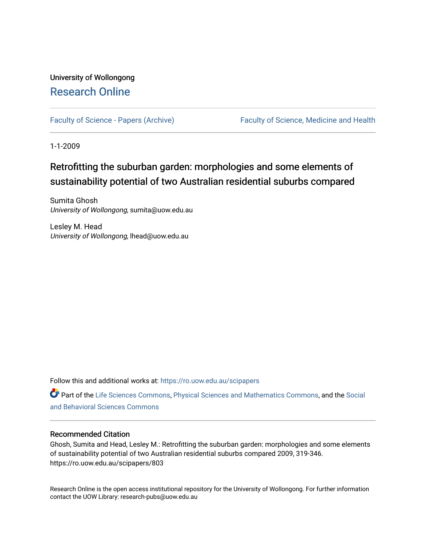# University of Wollongong [Research Online](https://ro.uow.edu.au/)

[Faculty of Science - Papers \(Archive\)](https://ro.uow.edu.au/scipapers) Faculty of Science, Medicine and Health

1-1-2009

# Retrofitting the suburban garden: morphologies and some elements of sustainability potential of two Australian residential suburbs compared

Sumita Ghosh University of Wollongong, sumita@uow.edu.au

Lesley M. Head University of Wollongong, lhead@uow.edu.au

Follow this and additional works at: [https://ro.uow.edu.au/scipapers](https://ro.uow.edu.au/scipapers?utm_source=ro.uow.edu.au%2Fscipapers%2F803&utm_medium=PDF&utm_campaign=PDFCoverPages)

Part of the [Life Sciences Commons,](http://network.bepress.com/hgg/discipline/1016?utm_source=ro.uow.edu.au%2Fscipapers%2F803&utm_medium=PDF&utm_campaign=PDFCoverPages) [Physical Sciences and Mathematics Commons,](http://network.bepress.com/hgg/discipline/114?utm_source=ro.uow.edu.au%2Fscipapers%2F803&utm_medium=PDF&utm_campaign=PDFCoverPages) and the [Social](http://network.bepress.com/hgg/discipline/316?utm_source=ro.uow.edu.au%2Fscipapers%2F803&utm_medium=PDF&utm_campaign=PDFCoverPages)  [and Behavioral Sciences Commons](http://network.bepress.com/hgg/discipline/316?utm_source=ro.uow.edu.au%2Fscipapers%2F803&utm_medium=PDF&utm_campaign=PDFCoverPages) 

### Recommended Citation

Ghosh, Sumita and Head, Lesley M.: Retrofitting the suburban garden: morphologies and some elements of sustainability potential of two Australian residential suburbs compared 2009, 319-346. https://ro.uow.edu.au/scipapers/803

Research Online is the open access institutional repository for the University of Wollongong. For further information contact the UOW Library: research-pubs@uow.edu.au